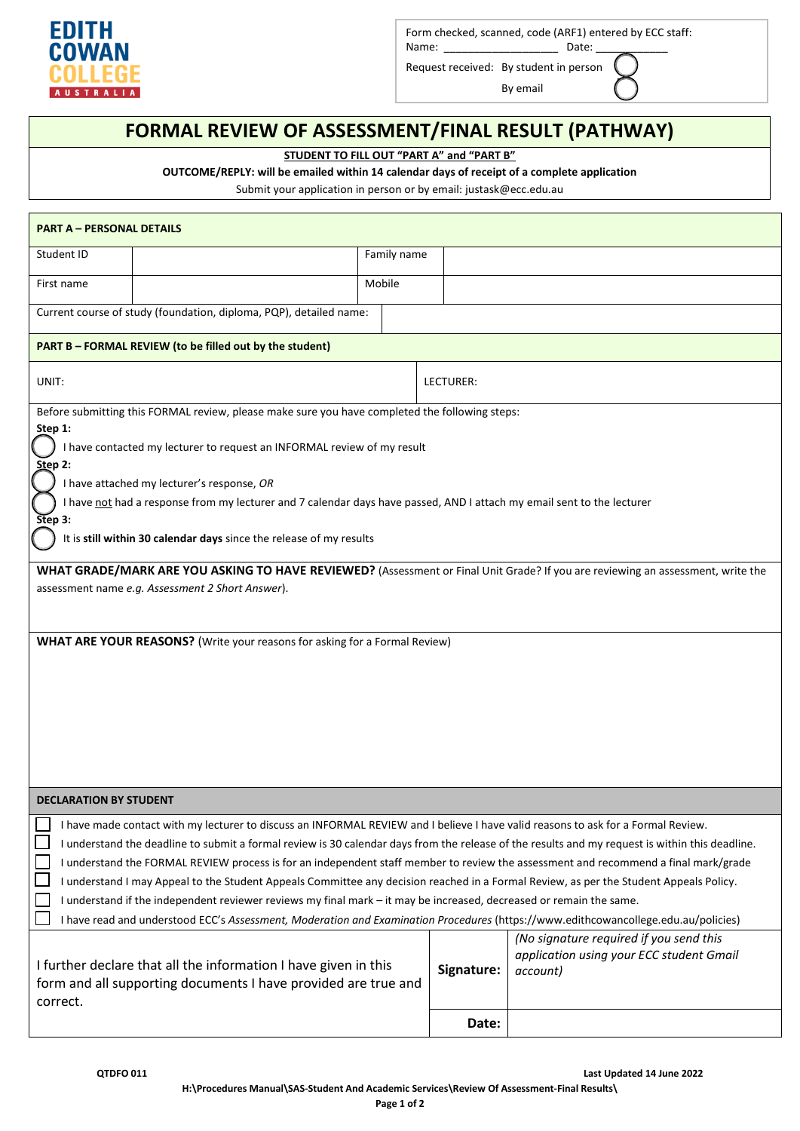

Form checked, scanned, code (ARF1) entered by ECC staff:

Name: \_\_\_\_\_\_\_\_\_\_\_\_\_\_\_\_\_\_\_\_\_\_\_\_\_\_\_\_\_\_\_\_\_\_ Date: \_ Request received: By student in person

By email

## **FORMAL REVIEW OF ASSESSMENT/FINAL RESULT (PATHWAY)**

**STUDENT TO FILL OUT "PART A" and "PART B"**

**OUTCOME/REPLY: will be emailed within 14 calendar days of receipt of a complete application**

Submit your application in person or by email: justask@ecc.edu.au

| <b>PART A - PERSONAL DETAILS</b>                                                                                                                |                                                                                                                                  |             |  |            |                                                                                                                                 |  |  |
|-------------------------------------------------------------------------------------------------------------------------------------------------|----------------------------------------------------------------------------------------------------------------------------------|-------------|--|------------|---------------------------------------------------------------------------------------------------------------------------------|--|--|
| Student ID                                                                                                                                      |                                                                                                                                  | Family name |  |            |                                                                                                                                 |  |  |
| First name                                                                                                                                      |                                                                                                                                  | Mobile      |  |            |                                                                                                                                 |  |  |
| Current course of study (foundation, diploma, PQP), detailed name:                                                                              |                                                                                                                                  |             |  |            |                                                                                                                                 |  |  |
| <b>PART B - FORMAL REVIEW (to be filled out by the student)</b>                                                                                 |                                                                                                                                  |             |  |            |                                                                                                                                 |  |  |
| UNIT:                                                                                                                                           |                                                                                                                                  |             |  | LECTURER:  |                                                                                                                                 |  |  |
| Before submitting this FORMAL review, please make sure you have completed the following steps:                                                  |                                                                                                                                  |             |  |            |                                                                                                                                 |  |  |
| Step 1:                                                                                                                                         |                                                                                                                                  |             |  |            |                                                                                                                                 |  |  |
| Step 2:                                                                                                                                         | I have contacted my lecturer to request an INFORMAL review of my result                                                          |             |  |            |                                                                                                                                 |  |  |
|                                                                                                                                                 | I have attached my lecturer's response, OR                                                                                       |             |  |            |                                                                                                                                 |  |  |
|                                                                                                                                                 | I have not had a response from my lecturer and 7 calendar days have passed, AND I attach my email sent to the lecturer           |             |  |            |                                                                                                                                 |  |  |
| Step 3:                                                                                                                                         |                                                                                                                                  |             |  |            |                                                                                                                                 |  |  |
|                                                                                                                                                 | It is still within 30 calendar days since the release of my results                                                              |             |  |            |                                                                                                                                 |  |  |
|                                                                                                                                                 |                                                                                                                                  |             |  |            | WHAT GRADE/MARK ARE YOU ASKING TO HAVE REVIEWED? (Assessment or Final Unit Grade? If you are reviewing an assessment, write the |  |  |
|                                                                                                                                                 | assessment name e.g. Assessment 2 Short Answer).                                                                                 |             |  |            |                                                                                                                                 |  |  |
|                                                                                                                                                 |                                                                                                                                  |             |  |            |                                                                                                                                 |  |  |
|                                                                                                                                                 | <b>WHAT ARE YOUR REASONS?</b> (Write your reasons for asking for a Formal Review)                                                |             |  |            |                                                                                                                                 |  |  |
|                                                                                                                                                 |                                                                                                                                  |             |  |            |                                                                                                                                 |  |  |
|                                                                                                                                                 |                                                                                                                                  |             |  |            |                                                                                                                                 |  |  |
|                                                                                                                                                 |                                                                                                                                  |             |  |            |                                                                                                                                 |  |  |
|                                                                                                                                                 |                                                                                                                                  |             |  |            |                                                                                                                                 |  |  |
|                                                                                                                                                 |                                                                                                                                  |             |  |            |                                                                                                                                 |  |  |
|                                                                                                                                                 |                                                                                                                                  |             |  |            |                                                                                                                                 |  |  |
|                                                                                                                                                 |                                                                                                                                  |             |  |            |                                                                                                                                 |  |  |
| <b>DECLARATION BY STUDENT</b>                                                                                                                   |                                                                                                                                  |             |  |            |                                                                                                                                 |  |  |
|                                                                                                                                                 | I have made contact with my lecturer to discuss an INFORMAL REVIEW and I believe I have valid reasons to ask for a Formal Review |             |  |            |                                                                                                                                 |  |  |
| I understand the deadline to submit a formal review is 30 calendar days from the release of the results and my request is within this deadline. |                                                                                                                                  |             |  |            |                                                                                                                                 |  |  |
| I understand the FORMAL REVIEW process is for an independent staff member to review the assessment and recommend a final mark/grade             |                                                                                                                                  |             |  |            |                                                                                                                                 |  |  |
| I understand I may Appeal to the Student Appeals Committee any decision reached in a Formal Review, as per the Student Appeals Policy.          |                                                                                                                                  |             |  |            |                                                                                                                                 |  |  |
| I understand if the independent reviewer reviews my final mark - it may be increased, decreased or remain the same.                             |                                                                                                                                  |             |  |            |                                                                                                                                 |  |  |
| I have read and understood ECC's Assessment, Moderation and Examination Procedures (https://www.edithcowancollege.edu.au/policies)              |                                                                                                                                  |             |  |            |                                                                                                                                 |  |  |
|                                                                                                                                                 |                                                                                                                                  |             |  |            | (No signature required if you send this<br>application using your ECC student Gmail                                             |  |  |
|                                                                                                                                                 | I further declare that all the information I have given in this                                                                  |             |  | Signature: | account)                                                                                                                        |  |  |
| form and all supporting documents I have provided are true and                                                                                  |                                                                                                                                  |             |  |            |                                                                                                                                 |  |  |
| correct.                                                                                                                                        |                                                                                                                                  |             |  |            |                                                                                                                                 |  |  |
|                                                                                                                                                 |                                                                                                                                  |             |  | Date:      |                                                                                                                                 |  |  |
|                                                                                                                                                 |                                                                                                                                  |             |  |            |                                                                                                                                 |  |  |